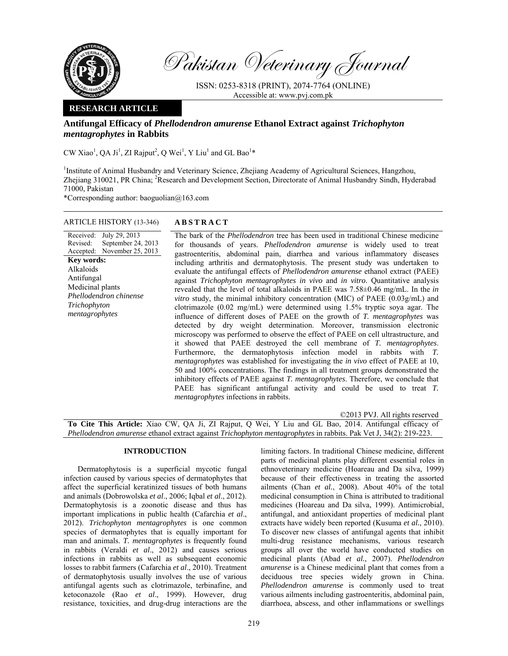

Pakistan Veterinary Journal

ISSN: 0253-8318 (PRINT), 2074-7764 (ONLINE) Accessible at: www.pvj.com.pk

## **RESEARCH ARTICLE**

# **Antifungal Efficacy of** *Phellodendron amurense* **Ethanol Extract against** *Trichophyton mentagrophytes* **in Rabbits**

CW Xiao<sup>1</sup>, QA Ji<sup>1</sup>, ZI Rajput<sup>2</sup>, Q Wei<sup>1</sup>, Y Liu<sup>1</sup> and GL Bao<sup>1</sup>\*

<sup>1</sup>Institute of Animal Husbandry and Veterinary Science, Zhejiang Academy of Agricultural Sciences, Hangzhou, Zhejiang 310021, PR China; <sup>2</sup>Research and Development Section, Directorate of Animal Husbandry Sindh, Hyderabad 71000, Pakistan

\*Corresponding author: baoguolian@163.com

## ARTICLE HISTORY (13-346) **ABSTRACT**

Received: July 29, 2013 Revised: Accepted: September 24, 2013 November 25, 2013 **Key words:**  Alkaloids Antifungal Medicinal plants *Phellodendron chinense Trichophyton mentagrophytes*

 The bark of the *Phellodendron* tree has been used in traditional Chinese medicine for thousands of years. *Phellodendron amurense* is widely used to treat gastroenteritis, abdominal pain, diarrhea and various inflammatory diseases including arthritis and dermatophytosis. The present study was undertaken to evaluate the antifungal effects of *Phellodendron amurense* ethanol extract (PAEE) against *Trichophyton mentagrophytes in vivo* and *in vitro*. Quantitative analysis revealed that the level of total alkaloids in PAEE was 7.58±0.46 mg/mL. In the *in vitro* study, the minimal inhibitory concentration (MIC) of PAEE (0.03g/mL) and clotrimazole (0.02 mg/mL) were determined using 1.5% tryptic soya agar. The influence of different doses of PAEE on the growth of *T. mentagrophytes* was detected by dry weight determination. Moreover, transmission electronic microscopy was performed to observe the effect of PAEE on cell ultrastructure, and it showed that PAEE destroyed the cell membrane of *T. mentagrophytes*. Furthermore, the dermatophytosis infection model in rabbits with *T. mentagrophytes* was established for investigating the *in vivo* effect of PAEE at 10, 50 and 100% concentrations. The findings in all treatment groups demonstrated the inhibitory effects of PAEE against *T. mentagrophytes*. Therefore, we conclude that PAEE has significant antifungal activity and could be used to treat *T. mentagrophytes* infections in rabbits.

©2013 PVJ. All rights reserved

**To Cite This Article:** Xiao CW, QA Ji, ZI Rajput, Q Wei, Y Liu and GL Bao, 2014. Antifungal efficacy of *Phellodendron amurense* ethanol extract against *Trichophyton mentagrophytes* in rabbits. Pak Vet J, 34(2): 219-223.

## **INTRODUCTION**

Dermatophytosis is a superficial mycotic fungal infection caused by various species of dermatophytes that affect the superficial keratinized tissues of both humans and animals (Dobrowolska *et al*., 2006; Iqbal *et al*., 2012). Dermatophytosis is a zoonotic disease and thus has important implications in public health (Cafarchia *et al*., 2012). *Trichophyton mentagrophytes* is one common species of dermatophytes that is equally important for man and animals. *T. mentagrophytes* is frequently found in rabbits (Veraldi *et al*., 2012) and causes serious infections in rabbits as well as subsequent economic losses to rabbit farmers (Cafarchia *et al*., 2010). Treatment of dermatophytosis usually involves the use of various antifungal agents such as clotrimazole, terbinafine, and ketoconazole (Rao *et al*., 1999). However, drug resistance, toxicities, and drug-drug interactions are the

limiting factors. In traditional Chinese medicine, different parts of medicinal plants play different essential roles in ethnoveterinary medicine (Hoareau and Da silva, 1999) because of their effectiveness in treating the assorted ailments (Chan *et al.*, 2008). About 40% of the total medicinal consumption in China is attributed to traditional medicines (Hoareau and Da silva, 1999). Antimicrobial, antifungal, and antioxidant properties of medicinal plant extracts have widely been reported (Kusuma *et al.*, 2010). To discover new classes of antifungal agents that inhibit multi-drug resistance mechanisms, various research groups all over the world have conducted studies on medicinal plants (Abad *et al.*, 2007). *Phellodendron amurense* is a Chinese medicinal plant that comes from a deciduous tree species widely grown in China. *Phellodendron amurense* is commonly used to treat various ailments including gastroenteritis, abdominal pain, diarrhoea, abscess, and other inflammations or swellings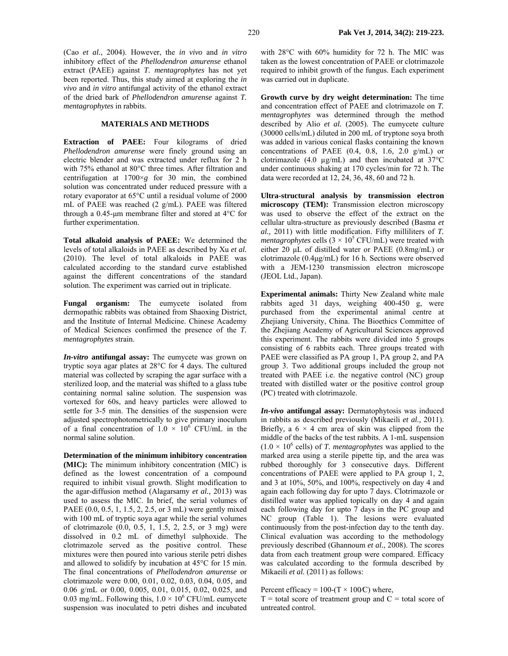(Cao *et al.*, 2004). However, the *in vivo* and *in vitro* inhibitory effect of the *Phellodendron amurense* ethanol extract (PAEE) against *T. mentagrophytes* has not yet been reported. Thus, this study aimed at exploring the *in vivo* and *in vitro* antifungal activity of the ethanol extract of the dried bark of *Phellodendron amurense* against *T. mentagrophytes* in rabbits.

### **MATERIALS AND METHODS**

**Extraction of PAEE:** Four kilograms of dried *Phellodendron amurense* were finely ground using an electric blender and was extracted under reflux for 2 h with 75% ethanol at 80°C three times. After filtration and centrifugation at 1700×*g* for 30 min, the combined solution was concentrated under reduced pressure with a rotary evaporator at 65°C until a residual volume of 2000 mL of PAEE was reached (2 g/mL). PAEE was filtered through a 0.45-µm membrane filter and stored at 4°C for further experimentation.

**Total alkaloid analysis of PAEE:** We determined the levels of total alkaloids in PAEE as described by Xu *et al.* (2010). The level of total alkaloids in PAEE was calculated according to the standard curve established against the different concentrations of the standard solution. The experiment was carried out in triplicate.

**Fungal organism:** The eumycete isolated from dermopathic rabbits was obtained from Shaoxing District, and the Institute of Internal Medicine. Chinese Academy of Medical Sciences confirmed the presence of the *T. mentagrophytes* strain.

*In-vitro* **antifungal assay:** The eumycete was grown on tryptic soya agar plates at 28°C for 4 days. The cultured material was collected by scraping the agar surface with a sterilized loop, and the material was shifted to a glass tube containing normal saline solution. The suspension was vortexed for 60s, and heavy particles were allowed to settle for 3-5 min. The densities of the suspension were adjusted spectrophotometrically to give primary inoculum of a final concentration of  $1.0 \times 10^6$  CFU/mL in the normal saline solution.

**Determination of the minimum inhibitory concentration (MIC):** The minimum inhibitory concentration (MIC) is defined as the lowest concentration of a compound required to inhibit visual growth. Slight modification to the agar-diffusion method (Alagarsamy *et al.,* 2013) was used to assess the MIC. In brief, the serial volumes of PAEE (0.0, 0.5, 1, 1.5, 2, 2.5, or 3 mL) were gently mixed with 100 mL of tryptic soya agar while the serial volumes of clotrimazole (0.0, 0.5, 1, 1.5, 2, 2.5, or 3 mg) were dissolved in 0.2 mL of dimethyl sulphoxide. The clotrimazole served as the positive control. These mixtures were then poured into various sterile petri dishes and allowed to solidify by incubation at 45°C for 15 min. The final concentrations of *Phellodendron amurense* or clotrimazole were 0.00, 0.01, 0.02, 0.03, 0.04, 0.05, and 0.06 g/mL or 0.00, 0.005, 0.01, 0.015, 0.02, 0.025, and 0.03 mg/mL. Following this,  $1.0 \times 10^6$  CFU/mL eumycete suspension was inoculated to petri dishes and incubated with 28°C with 60% humidity for 72 h. The MIC was taken as the lowest concentration of PAEE or clotrimazole required to inhibit growth of the fungus. Each experiment was carried out in duplicate.

**Growth curve by dry weight determination:** The time and concentration effect of PAEE and clotrimazole on *T. mentagrophytes* was determined through the method described by Alio *et al.* (2005). The eumycete culture (30000 cells/mL) diluted in 200 mL of tryptone soya broth was added in various conical flasks containing the known concentrations of PAEE  $(0.4, 0.8, 1.6, 2.0 \text{ g/mL})$  or clotrimazole (4.0  $\mu$ g/mL) and then incubated at 37°C under continuous shaking at 170 cycles/min for 72 h. The data were recorded at 12, 24, 36, 48, 60 and 72 h.

**Ultra-structural analysis by transmission electron microscopy (TEM):** Transmission electron microscopy was used to observe the effect of the extract on the cellular ultra-structure as previously described (Basma *et al.,* 2011) with little modification. Fifty milliliters of *T. mentagrophytes* cells  $(3 \times 10^5 \text{ CFU/mL})$  were treated with either 20 µL of distilled water or PAEE (0.8mg/mL) or clotrimazole (0.4µg/mL) for 16 h. Sections were observed with a JEM-1230 transmission electron microscope (JEOL Ltd., Japan).

**Experimental animals:** Thirty New Zealand white male rabbits aged 31 days, weighing 400-450 g, were purchased from the experimental animal centre at Zhejiang University, China. The Bioethics Committee of the Zhejiang Academy of Agricultural Sciences approved this experiment. The rabbits were divided into 5 groups consisting of 6 rabbits each. Three groups treated with PAEE were classified as PA group 1, PA group 2, and PA group 3. Two additional groups included the group not treated with PAEE i.e. the negative control (NC) group treated with distilled water or the positive control group (PC) treated with clotrimazole.

*In-vivo* **antifungal assay:** Dermatophytosis was induced in rabbits as described previously (Mikaeili *et al.,* 2011). Briefly, a  $6 \times 4$  cm area of skin was clipped from the middle of the backs of the test rabbits. A 1-mL suspension  $(1.0 \times 10^6 \text{ cells})$  of *T. mentagrophytes* was applied to the marked area using a sterile pipette tip, and the area was rubbed thoroughly for 3 consecutive days. Different concentrations of PAEE were applied to PA group 1, 2, and 3 at 10%, 50%, and 100%, respectively on day 4 and again each following day for upto 7 days. Clotrimazole or distilled water was applied topically on day 4 and again each following day for upto 7 days in the PC group and NC group (Table 1). The lesions were evaluated continuously from the post-infection day to the tenth day. Clinical evaluation was according to the methodology previously described (Ghannoum *et al.*, 2008). The scores data from each treatment group were compared. Efficacy was calculated according to the formula described by Mikaeili *et al.* (2011) as follows:

Percent efficacy =  $100-(T \times 100/C)$  where,

 $T =$  total score of treatment group and  $C =$  total score of untreated control.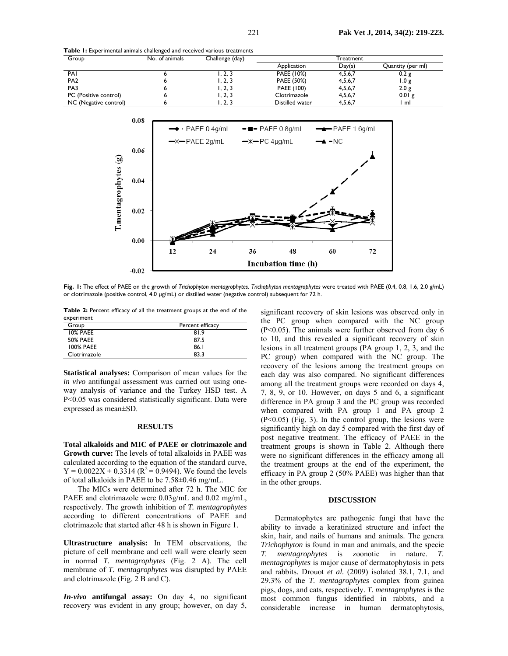| Group                 | No. of animals | Challenge (day) | Treatment       |         |                   |
|-----------------------|----------------|-----------------|-----------------|---------|-------------------|
|                       |                |                 | Application     | Day(s)  | Quantity (per ml) |
| PAI                   |                | . . 2. 3        | PAEE (10%)      | 4,5,6,7 | 0.2 g             |
| PA <sub>2</sub>       |                | I. 2. 3         | PAEE (50%)      | 4,5,6,7 | 1.0 g             |
| PA3                   |                | I. 2. 3         | PAEE (100)      | 4,5,6,7 | 2.0 g             |
| PC (Positive control) |                | I. 2. 3         | Clotrimazole    | 4,5,6,7 | 0.01 g            |
| NC (Negative control) |                | ، 2, 3          | Distilled water | 4,5,6,7 | ml                |



**Fig. 1:** The effect of PAEE on the growth of *Trichophyton mentagrophytes*. *Trichophyton mentagrophytes* were treated with PAEE (0.4, 0.8, 1.6, 2.0 g/mL) or clotrimazole (positive control, 4.0 µg/mL) or distilled water (negative control) subsequent for 72 h.

**Table 2:** Percent efficacy of all the treatment groups at the end of the experiment

| Group            | Percent efficacy |
|------------------|------------------|
| 10% PAEE         | 81.9             |
| <b>50% PAEE</b>  | 87.5             |
| <b>100% PAEE</b> | 86.I             |
| Clotrimazole     | 83.3             |

**Statistical analyses:** Comparison of mean values for the *in vivo* antifungal assessment was carried out using oneway analysis of variance and the Turkey HSD test. A P<0.05 was considered statistically significant. Data were expressed as mean±SD.

#### **RESULTS**

**Total alkaloids and MIC of PAEE or clotrimazole and Growth curve:** The levels of total alkaloids in PAEE was calculated according to the equation of the standard curve,  $Y = 0.0022X + 0.3314 (R^2 = 0.9494)$ . We found the levels of total alkaloids in PAEE to be 7.58±0.46 mg/mL.

The MICs were determined after 72 h. The MIC for PAEE and clotrimazole were 0.03g/mL and 0.02 mg/mL, respectively. The growth inhibition of *T. mentagrophytes*  according to different concentrations of PAEE and clotrimazole that started after 48 h is shown in Figure 1.

**Ultrastructure analysis:** In TEM observations, the picture of cell membrane and cell wall were clearly seen in normal *T. mentagrophytes* (Fig. 2 A). The cell membrane of *T. mentagrophytes* was disrupted by PAEE and clotrimazole (Fig. 2 B and C).

*In-vivo* **antifungal assay:** On day 4, no significant recovery was evident in any group; however, on day 5,

significant recovery of skin lesions was observed only in the PC group when compared with the NC group (P<0.05). The animals were further observed from day 6 to 10, and this revealed a significant recovery of skin lesions in all treatment groups (PA group 1, 2, 3, and the PC group) when compared with the NC group. The recovery of the lesions among the treatment groups on each day was also compared. No significant differences among all the treatment groups were recorded on days 4, 7, 8, 9, or 10. However, on days 5 and 6, a significant difference in PA group 3 and the PC group was recorded when compared with PA group 1 and PA group 2 (P<0.05) (Fig. 3). In the control group, the lesions were significantly high on day 5 compared with the first day of post negative treatment. The efficacy of PAEE in the treatment groups is shown in Table 2. Although there were no significant differences in the efficacy among all the treatment groups at the end of the experiment, the efficacy in PA group 2 (50% PAEE) was higher than that in the other groups.

#### **DISCUSSION**

Dermatophytes are pathogenic fungi that have the ability to invade a keratinized structure and infect the skin, hair, and nails of humans and animals. The genera *Trichophyton* is found in man and animals, and the specie *T. mentagrophytes* is zoonotic in nature. *T. mentagrophytes* is major cause of dermatophytosis in pets and rabbits. Drouot *et al.* (2009) isolated 38.1, 7.1, and 29.3% of the *T. mentagrophytes* complex from guinea pigs, dogs, and cats, respectively. *T. mentagrophytes* is the most common fungus identified in rabbits, and a considerable increase in human dermatophytosis,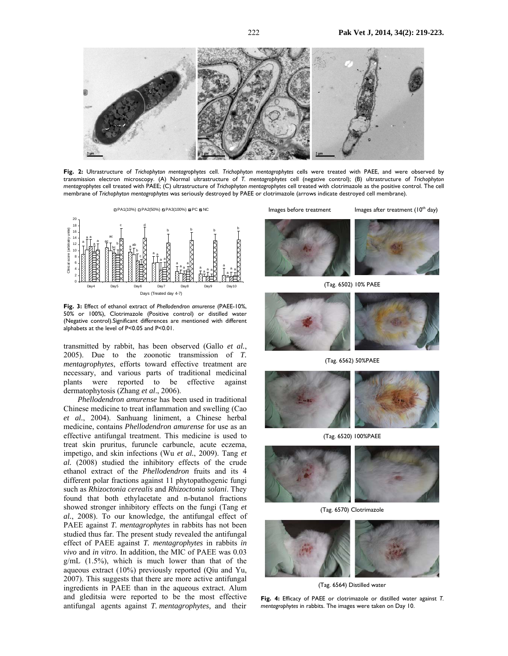

**Fig. 2:** Ultrastructure of *Trichophyton mentagrophytes* cell. *Trichophyton mentagrophytes* cells were treated with PAEE, and were observed by transmission electron microscopy. (A) Normal ultrastructure of *T. mentagrophytes* cell (negative control); (B) ultrastructure of *Trichophyton mentagrophytes* cell treated with PAEE; (C) ultrastructure of *Trichophyton mentagrophytes* cell treated with clotrimazole as the positive control. The cell membrane of *Trichophyton mentagrophytes* was seriously destroyed by PAEE or clotrimazole (arrows indicate destroyed cell membrane).



**Fig. 3:** Effect of ethanol extract of *Phellodendron amurense* (PAEE-10%, 50% or 100%), Clotrimazole (Positive control) or distilled water (Negative control).Significant differences are mentioned with different alphabets at the level of P<0.05 and P<0.01.

transmitted by rabbit, has been observed (Gallo *et al.*, 2005). Due to the zoonotic transmission of *T. mentagrophytes*, efforts toward effective treatment are necessary, and various parts of traditional medicinal plants were reported to be effective against dermatophytosis (Zhang *et al*., 2006).

*Phellodendron amurense* has been used in traditional Chinese medicine to treat inflammation and swelling (Cao *et al.*, 2004). Sanhuang liniment, a Chinese herbal medicine, contains *Phellodendron amurense* for use as an effective antifungal treatment. This medicine is used to treat skin pruritus, furuncle carbuncle, acute eczema, impetigo, and skin infections (Wu *et al.*, 2009). Tang *et al.* (2008) studied the inhibitory effects of the crude ethanol extract of the *Phellodendron* fruits and its 4 different polar fractions against 11 phytopathogenic fungi such as *Rhizoctonia cerealis* and *Rhizoctonia solani*. They found that both ethylacetate and n-butanol fractions showed stronger inhibitory effects on the fungi (Tang *et al.*, 2008). To our knowledge, the antifungal effect of PAEE against *T. mentagrophytes* in rabbits has not been studied thus far. The present study revealed the antifungal effect of PAEE against *T. mentagrophytes* in rabbits *in vivo* and *in vitro*. In addition, the MIC of PAEE was 0.03  $g/mL$  (1.5%), which is much lower than that of the aqueous extract (10%) previously reported (Qiu and Yu, 2007). This suggests that there are more active antifungal ingredients in PAEE than in the aqueous extract. Alum and gleditsia were reported to be the most effective antifungal agents against *T. mentagrophytes,* and their

Images before treatment Images after treatment  $(10<sup>th</sup>$  day)



(Tag. 6502) 10% PAEE





(Tag. 6562) 50%PAEE



(Tag. 6520) 100%PAEE



(Tag. 6570) Clotrimazole



(Tag. 6564) Distilled water

**Fig. 4:** Efficacy of PAEE or clotrimazole or distilled water against *T. mentagrophytes* in rabbits. The images were taken on Day 10.